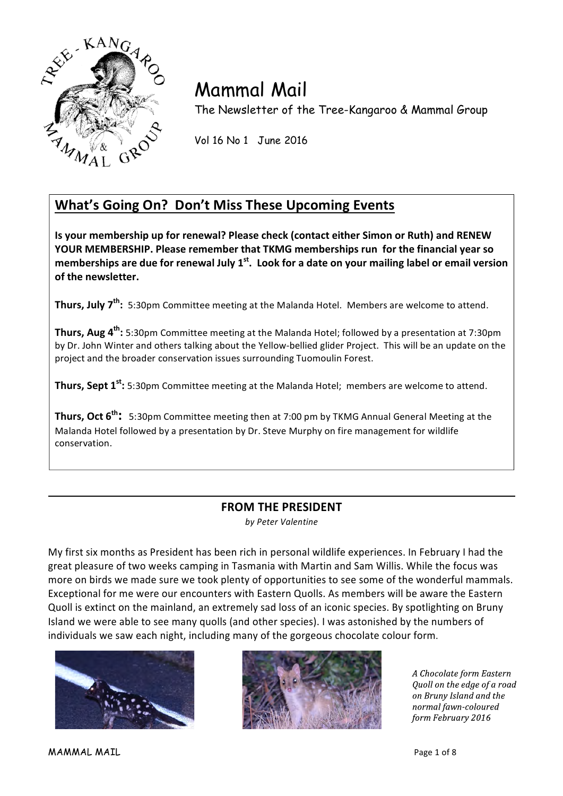

# Mammal Mail

The Newsletter of the Tree-Kangaroo & Mammal Group

Vol 16 No 1 June 2016

# **What's Going On? Don't Miss These Upcoming Events**

**Is your membership up for renewal? Please check (contact either Simon or Ruth) and RENEW YOUR MEMBERSHIP. Please remember that TKMG memberships run for the financial year so** memberships are due for renewal July 1<sup>st</sup>. Look for a date on your mailing label or email version of the newsletter.

**Thurs, July 7<sup>th</sup>:** 5:30pm Committee meeting at the Malanda Hotel. Members are welcome to attend.

**Thurs, Aug 4<sup>th</sup>:** 5:30pm Committee meeting at the Malanda Hotel; followed by a presentation at 7:30pm by Dr. John Winter and others talking about the Yellow-bellied glider Project. This will be an update on the project and the broader conservation issues surrounding Tuomoulin Forest.

**Thurs, Sept 1<sup>st</sup>:** 5:30pm Committee meeting at the Malanda Hotel; members are welcome to attend.

**Thurs, Oct 6<sup>th</sup>:** 5:30pm Committee meeting then at 7:00 pm by TKMG Annual General Meeting at the Malanda Hotel followed by a presentation by Dr. Steve Murphy on fire management for wildlife conservation.

# **FROM THE PRESIDENT** *by Peter Valentine*

My first six months as President has been rich in personal wildlife experiences. In February I had the great pleasure of two weeks camping in Tasmania with Martin and Sam Willis. While the focus was more on birds we made sure we took plenty of opportunities to see some of the wonderful mammals. Exceptional for me were our encounters with Eastern Quolls. As members will be aware the Eastern Quoll is extinct on the mainland, an extremely sad loss of an iconic species. By spotlighting on Bruny Island we were able to see many quolls (and other species). I was astonished by the numbers of individuals we saw each night, including many of the gorgeous chocolate colour form.





A Chocolate form Eastern Quoll on the edge of a road on Bruny Island and the normal fawn-coloured form February 2016

MAMMAL MAIL Page 1 of 8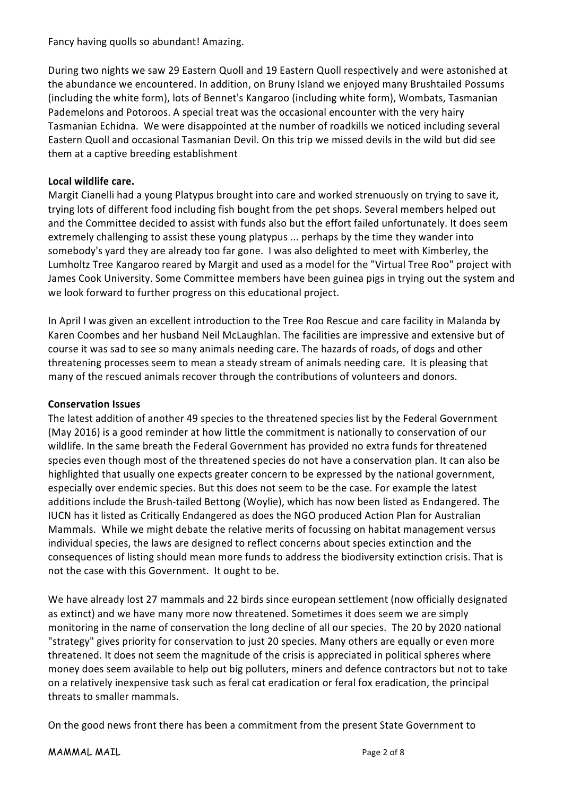## Fancy having quolls so abundant! Amazing.

During two nights we saw 29 Eastern Quoll and 19 Eastern Quoll respectively and were astonished at the abundance we encountered. In addition, on Bruny Island we enjoyed many Brushtailed Possums (including the white form), lots of Bennet's Kangaroo (including white form), Wombats, Tasmanian Pademelons and Potoroos. A special treat was the occasional encounter with the very hairy Tasmanian Echidna. We were disappointed at the number of roadkills we noticed including several Eastern Quoll and occasional Tasmanian Devil. On this trip we missed devils in the wild but did see them at a captive breeding establishment

# Local wildlife care.

Margit Cianelli had a young Platypus brought into care and worked strenuously on trying to save it, trying lots of different food including fish bought from the pet shops. Several members helped out and the Committee decided to assist with funds also but the effort failed unfortunately. It does seem extremely challenging to assist these young platypus ... perhaps by the time they wander into somebody's yard they are already too far gone. I was also delighted to meet with Kimberley, the Lumholtz Tree Kangaroo reared by Margit and used as a model for the "Virtual Tree Roo" project with James Cook University. Some Committee members have been guinea pigs in trying out the system and we look forward to further progress on this educational project.

In April I was given an excellent introduction to the Tree Roo Rescue and care facility in Malanda by Karen Coombes and her husband Neil McLaughlan. The facilities are impressive and extensive but of course it was sad to see so many animals needing care. The hazards of roads, of dogs and other threatening processes seem to mean a steady stream of animals needing care. It is pleasing that many of the rescued animals recover through the contributions of volunteers and donors.

#### **Conservation Issues**

The latest addition of another 49 species to the threatened species list by the Federal Government (May 2016) is a good reminder at how little the commitment is nationally to conservation of our wildlife. In the same breath the Federal Government has provided no extra funds for threatened species even though most of the threatened species do not have a conservation plan. It can also be highlighted that usually one expects greater concern to be expressed by the national government, especially over endemic species. But this does not seem to be the case. For example the latest additions include the Brush-tailed Bettong (Woylie), which has now been listed as Endangered. The IUCN has it listed as Critically Endangered as does the NGO produced Action Plan for Australian Mammals. While we might debate the relative merits of focussing on habitat management versus individual species, the laws are designed to reflect concerns about species extinction and the consequences of listing should mean more funds to address the biodiversity extinction crisis. That is not the case with this Government. It ought to be.

We have already lost 27 mammals and 22 birds since european settlement (now officially designated as extinct) and we have many more now threatened. Sometimes it does seem we are simply monitoring in the name of conservation the long decline of all our species. The 20 by 2020 national "strategy" gives priority for conservation to just 20 species. Many others are equally or even more threatened. It does not seem the magnitude of the crisis is appreciated in political spheres where money does seem available to help out big polluters, miners and defence contractors but not to take on a relatively inexpensive task such as feral cat eradication or feral fox eradication, the principal threats to smaller mammals.

On the good news front there has been a commitment from the present State Government to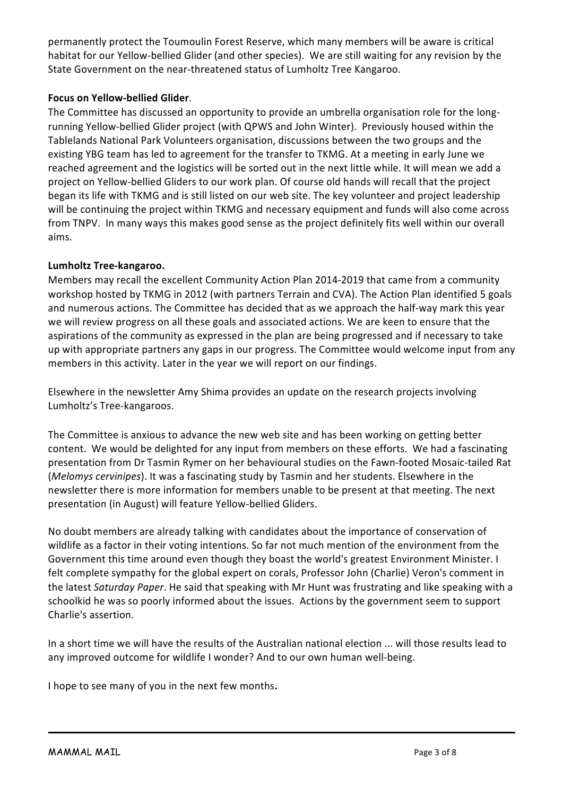permanently protect the Toumoulin Forest Reserve, which many members will be aware is critical habitat for our Yellow-bellied Glider (and other species). We are still waiting for any revision by the State Government on the near-threatened status of Lumholtz Tree Kangaroo.

# **Focus on Yellow-bellied Glider**.

The Committee has discussed an opportunity to provide an umbrella organisation role for the longrunning Yellow-bellied Glider project (with QPWS and John Winter). Previously housed within the Tablelands National Park Volunteers organisation, discussions between the two groups and the existing YBG team has led to agreement for the transfer to TKMG. At a meeting in early June we reached agreement and the logistics will be sorted out in the next little while. It will mean we add a project on Yellow-bellied Gliders to our work plan. Of course old hands will recall that the project began its life with TKMG and is still listed on our web site. The key volunteer and project leadership will be continuing the project within TKMG and necessary equipment and funds will also come across from TNPV. In many ways this makes good sense as the project definitely fits well within our overall aims.

# **Lumholtz Tree-kangaroo.**

Members may recall the excellent Community Action Plan 2014-2019 that came from a community workshop hosted by TKMG in 2012 (with partners Terrain and CVA). The Action Plan identified 5 goals and numerous actions. The Committee has decided that as we approach the half-way mark this year we will review progress on all these goals and associated actions. We are keen to ensure that the aspirations of the community as expressed in the plan are being progressed and if necessary to take up with appropriate partners any gaps in our progress. The Committee would welcome input from any members in this activity. Later in the year we will report on our findings.

Elsewhere in the newsletter Amy Shima provides an update on the research projects involving Lumholtz's Tree-kangaroos.

The Committee is anxious to advance the new web site and has been working on getting better content. We would be delighted for any input from members on these efforts. We had a fascinating presentation from Dr Tasmin Rymer on her behavioural studies on the Fawn-footed Mosaic-tailed Rat (*Melomys cervinipes*). It was a fascinating study by Tasmin and her students. Elsewhere in the newsletter there is more information for members unable to be present at that meeting. The next presentation (in August) will feature Yellow-bellied Gliders.

No doubt members are already talking with candidates about the importance of conservation of wildlife as a factor in their voting intentions. So far not much mention of the environment from the Government this time around even though they boast the world's greatest Environment Minister. I felt complete sympathy for the global expert on corals, Professor John (Charlie) Veron's comment in the latest *Saturday Paper*. He said that speaking with Mr Hunt was frustrating and like speaking with a schoolkid he was so poorly informed about the issues. Actions by the government seem to support Charlie's assertion.

In a short time we will have the results of the Australian national election ... will those results lead to any improved outcome for wildlife I wonder? And to our own human well-being.

I hope to see many of you in the next few months.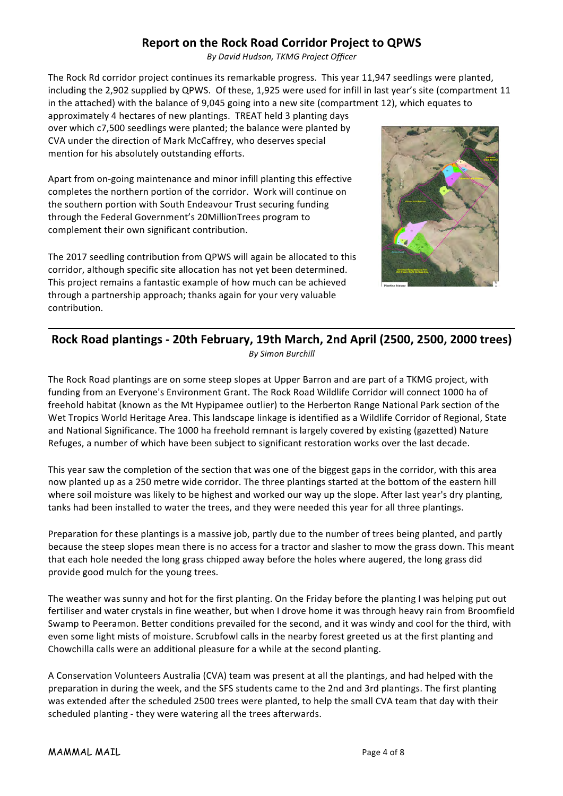# **Report on the Rock Road Corridor Project to QPWS**

*By David Hudson, TKMG Project Officer*

The Rock Rd corridor project continues its remarkable progress. This year 11,947 seedlings were planted, including the 2,902 supplied by QPWS. Of these, 1,925 were used for infill in last year's site (compartment 11 in the attached) with the balance of 9,045 going into a new site (compartment 12), which equates to

approximately 4 hectares of new plantings. TREAT held 3 planting days over which c7,500 seedlings were planted; the balance were planted by CVA under the direction of Mark McCaffrey, who deserves special mention for his absolutely outstanding efforts.

Apart from on-going maintenance and minor infill planting this effective completes the northern portion of the corridor. Work will continue on the southern portion with South Endeavour Trust securing funding through the Federal Government's 20MillionTrees program to complement their own significant contribution.

The 2017 seedling contribution from QPWS will again be allocated to this corridor, although specific site allocation has not yet been determined. This project remains a fantastic example of how much can be achieved through a partnership approach; thanks again for your very valuable contribution. 



# Rock Road plantings - 20th February, 19th March, 2nd April (2500, 2500, 2000 trees) *By Simon Burchill*

The Rock Road plantings are on some steep slopes at Upper Barron and are part of a TKMG project, with funding from an Everyone's Environment Grant. The Rock Road Wildlife Corridor will connect 1000 ha of freehold habitat (known as the Mt Hypipamee outlier) to the Herberton Range National Park section of the Wet Tropics World Heritage Area. This landscape linkage is identified as a Wildlife Corridor of Regional, State and National Significance. The 1000 ha freehold remnant is largely covered by existing (gazetted) Nature Refuges, a number of which have been subject to significant restoration works over the last decade.

This year saw the completion of the section that was one of the biggest gaps in the corridor, with this area now planted up as a 250 metre wide corridor. The three plantings started at the bottom of the eastern hill where soil moisture was likely to be highest and worked our way up the slope. After last year's dry planting, tanks had been installed to water the trees, and they were needed this year for all three plantings.

Preparation for these plantings is a massive job, partly due to the number of trees being planted, and partly because the steep slopes mean there is no access for a tractor and slasher to mow the grass down. This meant that each hole needed the long grass chipped away before the holes where augered, the long grass did provide good mulch for the young trees.

The weather was sunny and hot for the first planting. On the Friday before the planting I was helping put out fertiliser and water crystals in fine weather, but when I drove home it was through heavy rain from Broomfield Swamp to Peeramon. Better conditions prevailed for the second, and it was windy and cool for the third, with even some light mists of moisture. Scrubfowl calls in the nearby forest greeted us at the first planting and Chowchilla calls were an additional pleasure for a while at the second planting.

A Conservation Volunteers Australia (CVA) team was present at all the plantings, and had helped with the preparation in during the week, and the SFS students came to the 2nd and 3rd plantings. The first planting was extended after the scheduled 2500 trees were planted, to help the small CVA team that day with their scheduled planting - they were watering all the trees afterwards.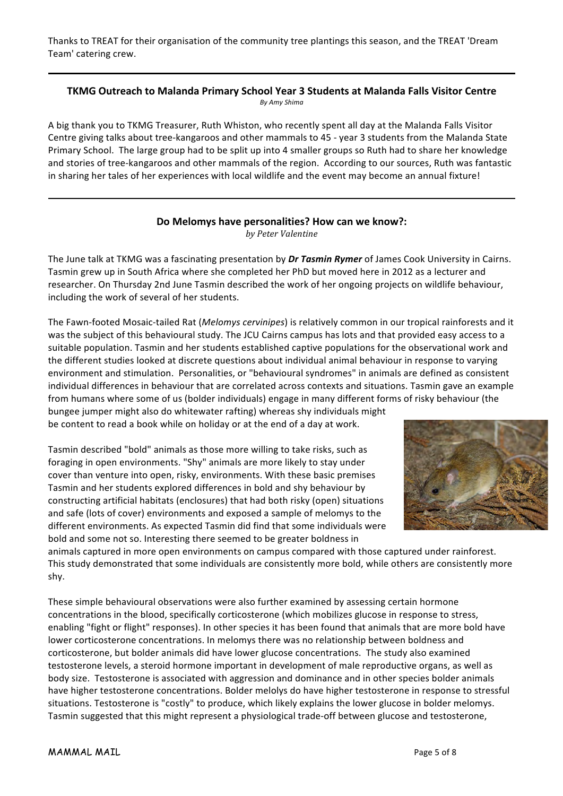Thanks to TREAT for their organisation of the community tree plantings this season, and the TREAT 'Dream Team' catering crew.

#### **TKMG Outreach to Malanda Primary School Year 3 Students at Malanda Falls Visitor Centre** *By Amy Shima*

A big thank you to TKMG Treasurer, Ruth Whiston, who recently spent all day at the Malanda Falls Visitor Centre giving talks about tree-kangaroos and other mammals to 45 - year 3 students from the Malanda State Primary School. The large group had to be split up into 4 smaller groups so Ruth had to share her knowledge and stories of tree-kangaroos and other mammals of the region. According to our sources, Ruth was fantastic in sharing her tales of her experiences with local wildlife and the event may become an annual fixture!

#### Do Melomys have personalities? How can we know?: *by Peter Valentine*

The June talk at TKMG was a fascinating presentation by *Dr Tasmin Rymer* of James Cook University in Cairns. Tasmin grew up in South Africa where she completed her PhD but moved here in 2012 as a lecturer and researcher. On Thursday 2nd June Tasmin described the work of her ongoing projects on wildlife behaviour, including the work of several of her students.

The Fawn-footed Mosaic-tailed Rat (*Melomys cervinipes*) is relatively common in our tropical rainforests and it was the subject of this behavioural study. The JCU Cairns campus has lots and that provided easy access to a suitable population. Tasmin and her students established captive populations for the observational work and the different studies looked at discrete questions about individual animal behaviour in response to varying environment and stimulation. Personalities, or "behavioural syndromes" in animals are defined as consistent individual differences in behaviour that are correlated across contexts and situations. Tasmin gave an example from humans where some of us (bolder individuals) engage in many different forms of risky behaviour (the bungee jumper might also do whitewater rafting) whereas shy individuals might be content to read a book while on holiday or at the end of a day at work.

Tasmin described "bold" animals as those more willing to take risks, such as foraging in open environments. "Shy" animals are more likely to stay under cover than venture into open, risky, environments. With these basic premises Tasmin and her students explored differences in bold and shy behaviour by constructing artificial habitats (enclosures) that had both risky (open) situations and safe (lots of cover) environments and exposed a sample of melomys to the

different environments. As expected Tasmin did find that some individuals were bold and some not so. Interesting there seemed to be greater boldness in



animals captured in more open environments on campus compared with those captured under rainforest. This study demonstrated that some individuals are consistently more bold, while others are consistently more shy.

These simple behavioural observations were also further examined by assessing certain hormone concentrations in the blood, specifically corticosterone (which mobilizes glucose in response to stress, enabling "fight or flight" responses). In other species it has been found that animals that are more bold have lower corticosterone concentrations. In melomys there was no relationship between boldness and corticosterone, but bolder animals did have lower glucose concentrations. The study also examined testosterone levels, a steroid hormone important in development of male reproductive organs, as well as body size. Testosterone is associated with aggression and dominance and in other species bolder animals have higher testosterone concentrations. Bolder melolys do have higher testosterone in response to stressful situations. Testosterone is "costly" to produce, which likely explains the lower glucose in bolder melomys. Tasmin suggested that this might represent a physiological trade-off between glucose and testosterone,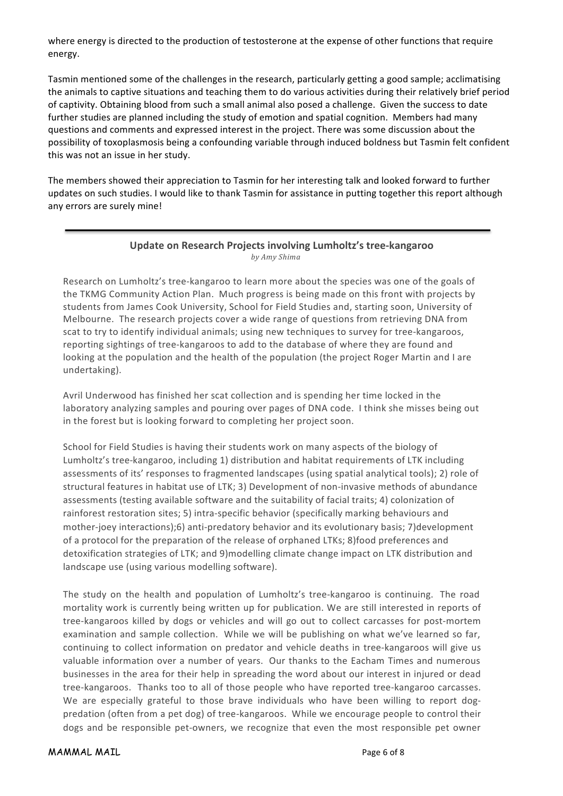where energy is directed to the production of testosterone at the expense of other functions that require energy.

Tasmin mentioned some of the challenges in the research, particularly getting a good sample; acclimatising the animals to captive situations and teaching them to do various activities during their relatively brief period of captivity. Obtaining blood from such a small animal also posed a challenge. Given the success to date further studies are planned including the study of emotion and spatial cognition. Members had many questions and comments and expressed interest in the project. There was some discussion about the possibility of toxoplasmosis being a confounding variable through induced boldness but Tasmin felt confident this was not an issue in her study.

The members showed their appreciation to Tasmin for her interesting talk and looked forward to further updates on such studies. I would like to thank Tasmin for assistance in putting together this report although any errors are surely mine!

#### **Update on Research Projects involving Lumholtz's tree-kangaroo** *by Amy Shima*

Research on Lumholtz's tree-kangaroo to learn more about the species was one of the goals of the TKMG Community Action Plan. Much progress is being made on this front with projects by students from James Cook University, School for Field Studies and, starting soon, University of Melbourne. The research projects cover a wide range of questions from retrieving DNA from scat to try to identify individual animals; using new techniques to survey for tree-kangaroos, reporting sightings of tree-kangaroos to add to the database of where they are found and looking at the population and the health of the population (the project Roger Martin and I are undertaking).

Avril Underwood has finished her scat collection and is spending her time locked in the laboratory analyzing samples and pouring over pages of DNA code. I think she misses being out in the forest but is looking forward to completing her project soon. 

School for Field Studies is having their students work on many aspects of the biology of Lumholtz's tree-kangaroo, including 1) distribution and habitat requirements of LTK including assessments of its' responses to fragmented landscapes (using spatial analytical tools); 2) role of structural features in habitat use of LTK; 3) Development of non-invasive methods of abundance assessments (testing available software and the suitability of facial traits; 4) colonization of rainforest restoration sites; 5) intra-specific behavior (specifically marking behaviours and mother-joey interactions);6) anti-predatory behavior and its evolutionary basis; 7)development of a protocol for the preparation of the release of orphaned LTKs; 8)food preferences and detoxification strategies of LTK; and 9)modelling climate change impact on LTK distribution and landscape use (using various modelling software).

The study on the health and population of Lumholtz's tree-kangaroo is continuing. The road mortality work is currently being written up for publication. We are still interested in reports of tree-kangaroos killed by dogs or vehicles and will go out to collect carcasses for post-mortem examination and sample collection. While we will be publishing on what we've learned so far, continuing to collect information on predator and vehicle deaths in tree-kangaroos will give us valuable information over a number of years. Our thanks to the Eacham Times and numerous businesses in the area for their help in spreading the word about our interest in injured or dead tree-kangaroos. Thanks too to all of those people who have reported tree-kangaroo carcasses. We are especially grateful to those brave individuals who have been willing to report dogpredation (often from a pet dog) of tree-kangaroos. While we encourage people to control their dogs and be responsible pet-owners, we recognize that even the most responsible pet owner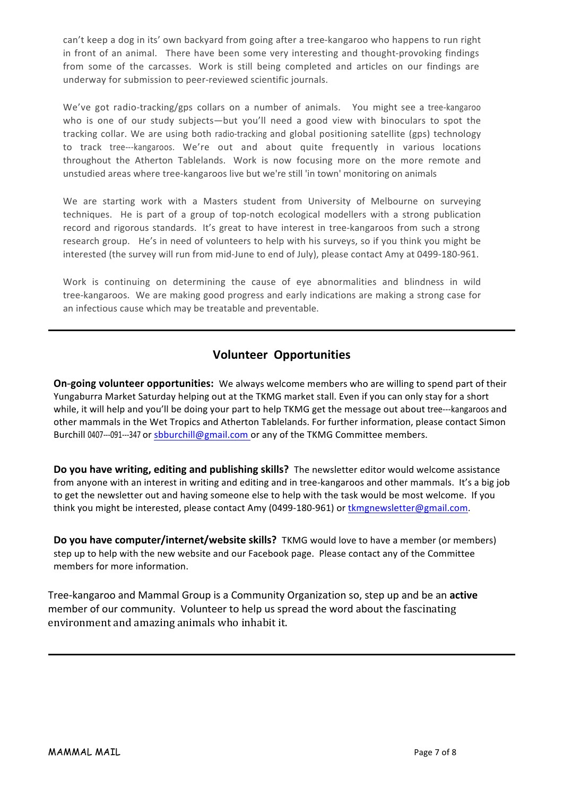can't keep a dog in its' own backyard from going after a tree-kangaroo who happens to run right in front of an animal. There have been some very interesting and thought-provoking findings from some of the carcasses. Work is still being completed and articles on our findings are underway for submission to peer-reviewed scientific journals.

We've got radio-tracking/gps collars on a number of animals. You might see a tree-kangaroo who is one of our study subjects—but you'll need a good view with binoculars to spot the tracking collar. We are using both radio-tracking and global positioning satellite (gps) technology to track tree---kangaroos. We're out and about quite frequently in various locations throughout the Atherton Tablelands. Work is now focusing more on the more remote and unstudied areas where tree-kangaroos live but we're still 'in town' monitoring on animals

We are starting work with a Masters student from University of Melbourne on surveying techniques. He is part of a group of top-notch ecological modellers with a strong publication record and rigorous standards. It's great to have interest in tree-kangaroos from such a strong research group. He's in need of volunteers to help with his surveys, so if you think you might be interested (the survey will run from mid-June to end of July), please contact Amy at 0499-180-961.

Work is continuing on determining the cause of eye abnormalities and blindness in wild tree-kangaroos. We are making good progress and early indications are making a strong case for an infectious cause which may be treatable and preventable.

# **Volunteer Opportunities**

On-going volunteer opportunities: We always welcome members who are willing to spend part of their Yungaburra Market Saturday helping out at the TKMG market stall. Even if you can only stay for a short while, it will help and you'll be doing your part to help TKMG get the message out about tree---kangaroos and other mammals in the Wet Tropics and Atherton Tablelands. For further information, please contact Simon Burchill 0407---091---347 or sbburchill@gmail.com or any of the TKMG Committee members.

**Do you have writing, editing and publishing skills?** The newsletter editor would welcome assistance from anyone with an interest in writing and editing and in tree-kangaroos and other mammals. It's a big job to get the newsletter out and having someone else to help with the task would be most welcome. If you think you might be interested, please contact Amy (0499-180-961) or tkmgnewsletter@gmail.com.

**Do you have computer/internet/website skills?** TKMG would love to have a member (or members) step up to help with the new website and our Facebook page. Please contact any of the Committee members for more information.

Tree-kangaroo and Mammal Group is a Community Organization so, step up and be an **active** member of our community. Volunteer to help us spread the word about the fascinating environment and amazing animals who inhabit it.